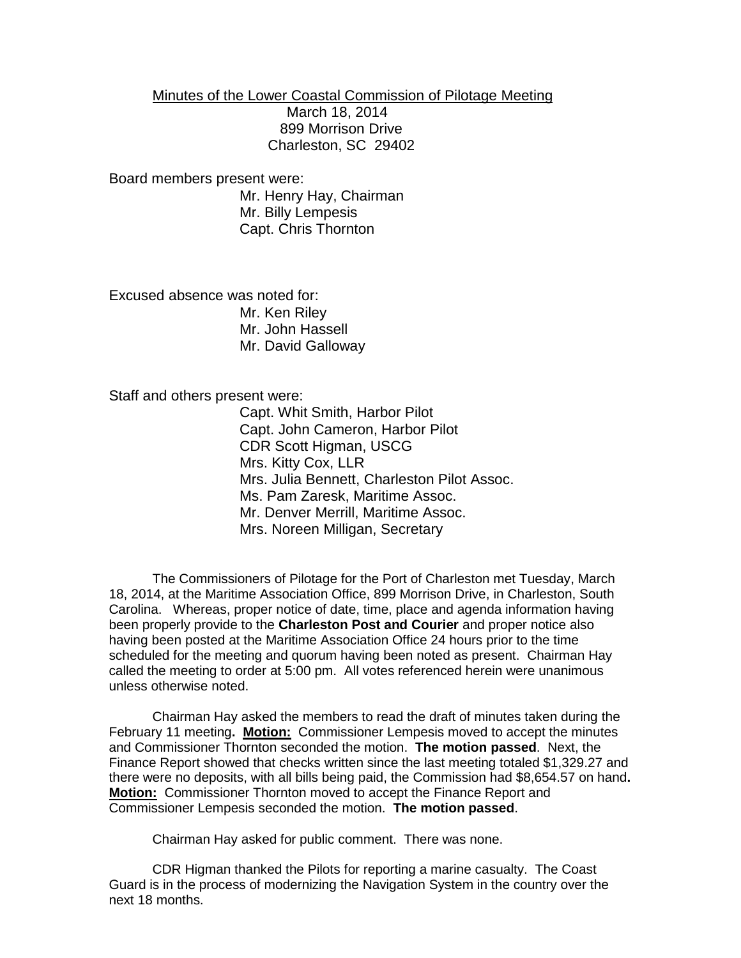Minutes of the Lower Coastal Commission of Pilotage Meeting March 18, 2014 899 Morrison Drive Charleston, SC 29402

Board members present were: Mr. Henry Hay, Chairman Mr. Billy Lempesis Capt. Chris Thornton

Excused absence was noted for: Mr. Ken Riley Mr. John Hassell Mr. David Galloway

Staff and others present were:

Capt. Whit Smith, Harbor Pilot Capt. John Cameron, Harbor Pilot CDR Scott Higman, USCG Mrs. Kitty Cox, LLR Mrs. Julia Bennett, Charleston Pilot Assoc. Ms. Pam Zaresk, Maritime Assoc. Mr. Denver Merrill, Maritime Assoc. Mrs. Noreen Milligan, Secretary

The Commissioners of Pilotage for the Port of Charleston met Tuesday, March 18, 2014, at the Maritime Association Office, 899 Morrison Drive, in Charleston, South Carolina. Whereas, proper notice of date, time, place and agenda information having been properly provide to the **Charleston Post and Courier** and proper notice also having been posted at the Maritime Association Office 24 hours prior to the time scheduled for the meeting and quorum having been noted as present. Chairman Hay called the meeting to order at 5:00 pm. All votes referenced herein were unanimous unless otherwise noted.

Chairman Hay asked the members to read the draft of minutes taken during the February 11 meeting**. Motion:** Commissioner Lempesis moved to accept the minutes and Commissioner Thornton seconded the motion. **The motion passed**. Next, the Finance Report showed that checks written since the last meeting totaled \$1,329.27 and there were no deposits, with all bills being paid, the Commission had \$8,654.57 on hand**. Motion:** Commissioner Thornton moved to accept the Finance Report and Commissioner Lempesis seconded the motion. **The motion passed**.

Chairman Hay asked for public comment. There was none.

CDR Higman thanked the Pilots for reporting a marine casualty. The Coast Guard is in the process of modernizing the Navigation System in the country over the next 18 months.